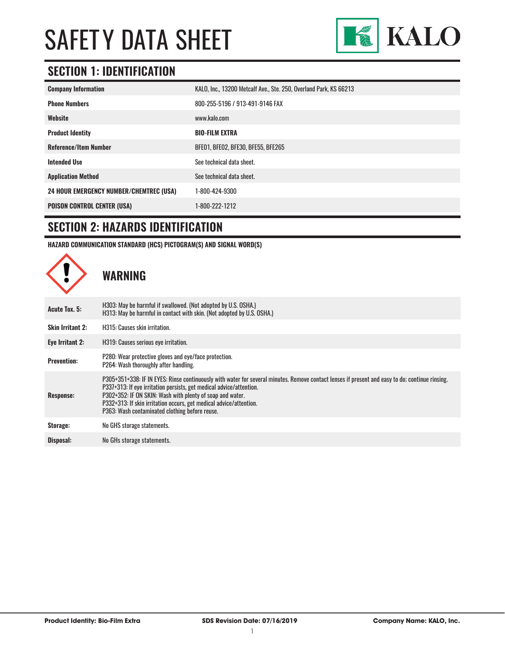

### **SECTION 1: IDENTIFICATION**

| <b>Company Information</b>                     | KALO, Inc., 13200 Metcalf Ave., Ste. 250, Overland Park, KS 66213 |
|------------------------------------------------|-------------------------------------------------------------------|
| <b>Phone Numbers</b>                           | 800-255-5196 / 913-491-9146 FAX                                   |
| Website                                        | www.kalo.com                                                      |
| <b>Product Identity</b>                        | <b>BIO-FILM EXTRA</b>                                             |
| <b>Reference/Item Number</b>                   | BFE01, BFE02, BFE30, BFE55, BFE265                                |
| <b>Intended Use</b>                            | See technical data sheet.                                         |
| <b>Application Method</b>                      | See technical data sheet.                                         |
| <b>24 HOUR EMERGENCY NUMBER/CHEMTREC (USA)</b> | 1-800-424-9300                                                    |
| <b>POISON CONTROL CENTER (USA)</b>             | 1-800-222-1212                                                    |

### **SECTION 2: HAZARDS IDENTIFICATION**

**HAZARD COMMUNICATION STANDARD (HCS) PICTOGRAM(S) AND SIGNAL WORD(S)**

**WARNING Acute Tox. 5:** H303: May be harmful if swallowed. (Not adopted by U.S. OSHA.) H313: May be harmful in contact with skin. (Not adopted by U.S. OSHA.) **Skin Irritant 2:** H315: Causes skin irritation. **Eye Irritant 2:** H319: Causes serious eye irritation. **Prevention:** P280: Wear protective gloves and eye/face protection. P264: Wash thoroughly after handling. **Response:** P305+351+338: IF IN EYES: Rinse continuously with water for several minutes. Remove contact lenses if present and easy to do; continue rinsing. P337+313: If eye irritation persists, get medical advice/attention. P302+352: IF ON SKIN: Wash with plenty of soap and water. P332+313: If skin irritation occurs, get medical advice/attention. P363: Wash contaminated clothing before reuse. **Storage:** No GHS storage statements. **Disposal:** No GHs storage statements.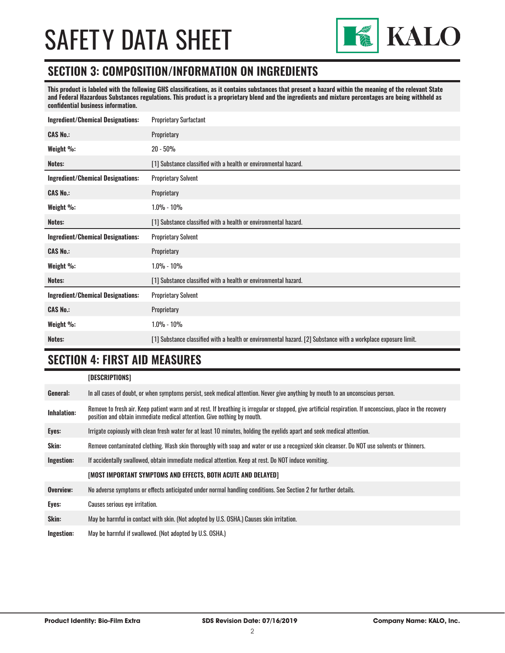

#### **SECTION 3: COMPOSITION/INFORMATION ON INGREDIENTS**

**This product is labeled with the following GHS classifications, as it contains substances that present a hazard within the meaning of the relevant State and Federal Hazardous Substances regulations. This product is a proprietary blend and the ingredients and mixture percentages are being withheld as confidential business information.**

| <b>Ingredient/Chemical Designations:</b> | <b>Proprietary Surfactant</b>                                   |
|------------------------------------------|-----------------------------------------------------------------|
| <b>CAS No.:</b>                          | Proprietary                                                     |
| Weight %:                                | $20 - 50%$                                                      |
| Notes:                                   | [1] Substance classified with a health or environmental hazard. |
| <b>Ingredient/Chemical Designations:</b> | <b>Proprietary Solvent</b>                                      |
| <b>CAS No.:</b>                          | Proprietary                                                     |
| Weight %:                                | $1.0\% - 10\%$                                                  |
| Notes:                                   | [1] Substance classified with a health or environmental hazard. |
|                                          |                                                                 |
| <b>Ingredient/Chemical Designations:</b> | <b>Proprietary Solvent</b>                                      |
| <b>CAS No.:</b>                          | Proprietary                                                     |
| Weight %:                                | $1.0\% - 10\%$                                                  |
| Notes:                                   | [1] Substance classified with a health or environmental hazard. |
| <b>Ingredient/Chemical Designations:</b> | <b>Proprietary Solvent</b>                                      |
| <b>CAS No.:</b>                          | Proprietary                                                     |
| Weight %:                                | $1.0\% - 10\%$                                                  |

#### **SECTION 4: FIRST AID MEASURES**

|                    | [DESCRIPTIONS]                                                                                                                                                                                                                          |
|--------------------|-----------------------------------------------------------------------------------------------------------------------------------------------------------------------------------------------------------------------------------------|
| General:           | In all cases of doubt, or when symptoms persist, seek medical attention. Never give anything by mouth to an unconscious person.                                                                                                         |
| <b>Inhalation:</b> | Remove to fresh air. Keep patient warm and at rest. If breathing is irregular or stopped, give artificial respiration. If unconscious, place in the recovery<br>position and obtain immediate medical attention. Give nothing by mouth. |
| Eyes:              | Irrigate copiously with clean fresh water for at least 10 minutes, holding the eyelids apart and seek medical attention.                                                                                                                |
| <b>Skin:</b>       | Remove contaminated clothing. Wash skin thoroughly with soap and water or use a recognized skin cleanser. Do NOT use solvents or thinners.                                                                                              |
| Ingestion:         | If accidentally swallowed, obtain immediate medical attention. Keep at rest, Do NOT induce vomiting.                                                                                                                                    |
|                    | [MOST IMPORTANT SYMPTOMS AND EFFECTS, BOTH ACUTE AND DELAYED]                                                                                                                                                                           |
| Overview:          | No adverse symptoms or effects anticipated under normal handling conditions. See Section 2 for further details.                                                                                                                         |
| Eyes:              | Causes serious eye irritation.                                                                                                                                                                                                          |
| Skin:              | May be harmful in contact with skin. (Not adopted by U.S. OSHA.) Causes skin irritation.                                                                                                                                                |
| Ingestion:         | May be harmful if swallowed. (Not adopted by U.S. OSHA.)                                                                                                                                                                                |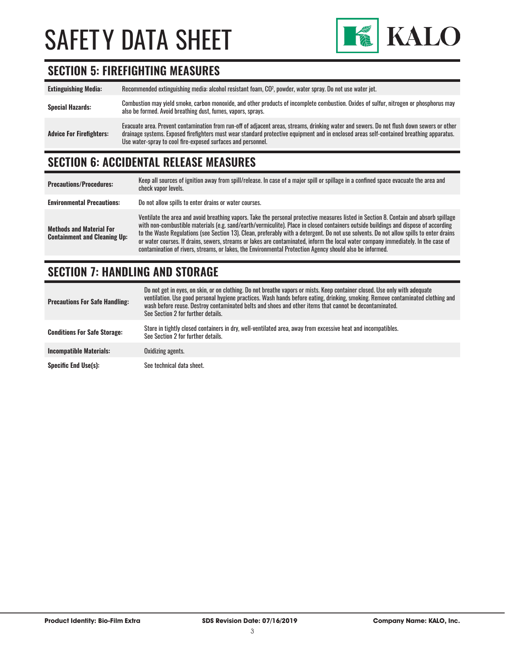

### **SECTION 5: FIREFIGHTING MEASURES**

| <b>Extinguishing Media:</b>     | Recommended extinguishing media: alcohol resistant foam, CO <sup>2</sup> , powder, water spray. Do not use water jet.                                                                                                                                                                                                                                  |
|---------------------------------|--------------------------------------------------------------------------------------------------------------------------------------------------------------------------------------------------------------------------------------------------------------------------------------------------------------------------------------------------------|
| <b>Special Hazards:</b>         | Combustion may yield smoke, carbon monoxide, and other products of incomplete combustion. Oxides of sulfur, nitrogen or phosphorus may<br>also be formed. Avoid breathing dust, fumes, vapors, sprays.                                                                                                                                                 |
| <b>Advice For Firefighters:</b> | Evacuate area. Prevent contamination from run-off of adjacent areas, streams, drinking water and sewers. Do not flush down sewers or other<br>drainage systems. Exposed firefighters must wear standard protective equipment and in enclosed areas self-contained breathing apparatus.<br>Use water-spray to cool fire-exposed surfaces and personnel. |

### **SECTION 6: ACCIDENTAL RELEASE MEASURES**

| <b>Precautions/Procedures:</b>                                         | Keep all sources of ignition away from spill/release. In case of a major spill or spillage in a confined space evacuate the area and<br>check vapor levels.                                                                                                                                                                                                                                                                                                                                                                                                                                                                                                               |
|------------------------------------------------------------------------|---------------------------------------------------------------------------------------------------------------------------------------------------------------------------------------------------------------------------------------------------------------------------------------------------------------------------------------------------------------------------------------------------------------------------------------------------------------------------------------------------------------------------------------------------------------------------------------------------------------------------------------------------------------------------|
| <b>Environmental Precautions:</b>                                      | Do not allow spills to enter drains or water courses.                                                                                                                                                                                                                                                                                                                                                                                                                                                                                                                                                                                                                     |
| <b>Methods and Material For</b><br><b>Containment and Cleaning Up:</b> | Ventilate the area and avoid breathing vapors. Take the personal protective measures listed in Section 8. Contain and absorb spillage<br>with non-combustible materials (e.g. sand/earth/vermiculite). Place in closed containers outside buildings and dispose of according<br>to the Waste Regulations (see Section 13). Clean, preferably with a detergent. Do not use solvents. Do not allow spills to enter drains<br>or water courses. If drains, sewers, streams or lakes are contaminated, inform the local water company immediately. In the case of<br>contamination of rivers, streams, or lakes, the Environmental Protection Agency should also be informed. |

### **SECTION 7: HANDLING AND STORAGE**

| <b>Precautions For Safe Handling:</b> | Do not get in eyes, on skin, or on clothing. Do not breathe vapors or mists. Keep container closed. Use only with adequate<br>ventilation. Use good personal hygiene practices. Wash hands before eating, drinking, smoking. Remove contaminated clothing and<br>wash before reuse. Destroy contaminated belts and shoes and other items that cannot be decontaminated.<br>See Section 2 for further details. |
|---------------------------------------|---------------------------------------------------------------------------------------------------------------------------------------------------------------------------------------------------------------------------------------------------------------------------------------------------------------------------------------------------------------------------------------------------------------|
| <b>Conditions For Safe Storage:</b>   | Store in tightly closed containers in dry, well-ventilated area, away from excessive heat and incompatibles.<br>See Section 2 for further details.                                                                                                                                                                                                                                                            |
| <b>Incompatible Materials:</b>        | Oxidizing agents.                                                                                                                                                                                                                                                                                                                                                                                             |
| <b>Specific End Use(s):</b>           | See technical data sheet.                                                                                                                                                                                                                                                                                                                                                                                     |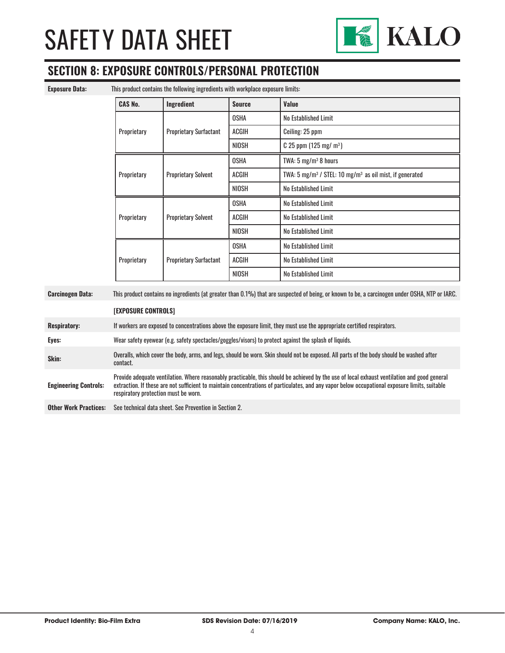

### **SECTION 8: EXPOSURE CONTROLS/PERSONAL PROTECTION**

| This product contains the following ingredients with workplace exposure limits:<br><b>Exposure Data:</b>                                                                  |                                                                                                                                                                                                                                                                                                                                        |                               |               |                                                                                 |
|---------------------------------------------------------------------------------------------------------------------------------------------------------------------------|----------------------------------------------------------------------------------------------------------------------------------------------------------------------------------------------------------------------------------------------------------------------------------------------------------------------------------------|-------------------------------|---------------|---------------------------------------------------------------------------------|
|                                                                                                                                                                           | <b>CAS No.</b>                                                                                                                                                                                                                                                                                                                         | Ingredient                    | <b>Source</b> | Value                                                                           |
|                                                                                                                                                                           |                                                                                                                                                                                                                                                                                                                                        |                               | <b>OSHA</b>   | No Established Limit                                                            |
|                                                                                                                                                                           | Proprietary                                                                                                                                                                                                                                                                                                                            | <b>Proprietary Surfactant</b> | ACGIH         | Ceiling: 25 ppm                                                                 |
|                                                                                                                                                                           |                                                                                                                                                                                                                                                                                                                                        |                               | <b>NIOSH</b>  | $C$ 25 ppm (125 mg/m <sup>3</sup> )                                             |
|                                                                                                                                                                           |                                                                                                                                                                                                                                                                                                                                        | <b>Proprietary Solvent</b>    | <b>OSHA</b>   | TWA: 5 mg/m <sup>3</sup> 8 hours                                                |
|                                                                                                                                                                           | Proprietary                                                                                                                                                                                                                                                                                                                            |                               | ACGIH         | TWA: 5 mg/m <sup>3</sup> / STEL: 10 mg/m <sup>3</sup> as oil mist, if generated |
|                                                                                                                                                                           |                                                                                                                                                                                                                                                                                                                                        |                               | <b>NIOSH</b>  | No Established Limit                                                            |
|                                                                                                                                                                           |                                                                                                                                                                                                                                                                                                                                        | <b>Proprietary Solvent</b>    | <b>OSHA</b>   | No Established Limit                                                            |
|                                                                                                                                                                           | Proprietary                                                                                                                                                                                                                                                                                                                            |                               | <b>ACGIH</b>  | No Established Limit                                                            |
|                                                                                                                                                                           |                                                                                                                                                                                                                                                                                                                                        |                               | <b>NIOSH</b>  | No Established Limit                                                            |
|                                                                                                                                                                           |                                                                                                                                                                                                                                                                                                                                        | <b>Proprietary Surfactant</b> | <b>OSHA</b>   | No Established Limit                                                            |
|                                                                                                                                                                           | Proprietary                                                                                                                                                                                                                                                                                                                            |                               | ACGIH         | No Established Limit                                                            |
|                                                                                                                                                                           |                                                                                                                                                                                                                                                                                                                                        |                               | <b>NIOSH</b>  | No Established Limit                                                            |
| This product contains no ingredients (at greater than 0.1%) that are suspected of being, or known to be, a carcinogen under OSHA, NTP or IARC.<br><b>Carcinogen Data:</b> |                                                                                                                                                                                                                                                                                                                                        |                               |               |                                                                                 |
|                                                                                                                                                                           | [EXPOSURE CONTROLS]                                                                                                                                                                                                                                                                                                                    |                               |               |                                                                                 |
| <b>Respiratory:</b>                                                                                                                                                       | If workers are exposed to concentrations above the exposure limit, they must use the appropriate certified respirators.                                                                                                                                                                                                                |                               |               |                                                                                 |
| Eyes:                                                                                                                                                                     | Wear safety eyewear (e.g. safety spectacles/goggles/visors) to protect against the splash of liquids.                                                                                                                                                                                                                                  |                               |               |                                                                                 |
| Skin:                                                                                                                                                                     | Overalls, which cover the body, arms, and legs, should be worn. Skin should not be exposed. All parts of the body should be washed after<br>contact.                                                                                                                                                                                   |                               |               |                                                                                 |
| <b>Engineering Controls:</b>                                                                                                                                              | Provide adequate ventilation. Where reasonably practicable, this should be achieved by the use of local exhaust ventilation and good general<br>extraction. If these are not sufficient to maintain concentrations of particulates, and any vapor below occupational exposure limits, suitable<br>respiratory protection must be worn. |                               |               |                                                                                 |
| <b>Other Work Practices:</b>                                                                                                                                              | See technical data sheet. See Prevention in Section 2.                                                                                                                                                                                                                                                                                 |                               |               |                                                                                 |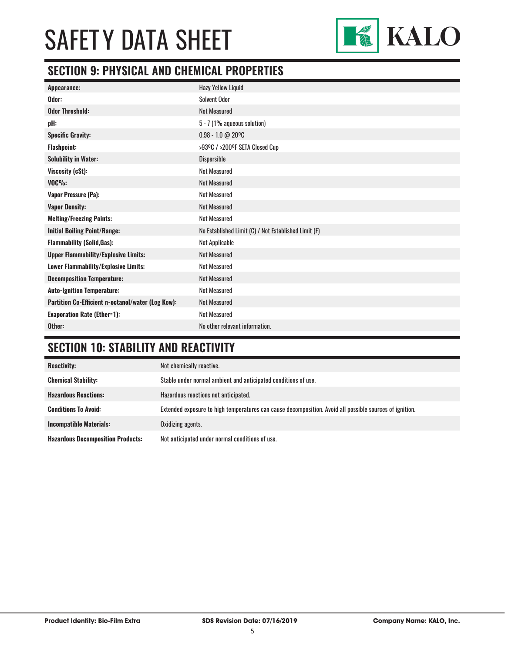

### **SECTION 9: PHYSICAL AND CHEMICAL PROPERTIES**

| Appearance:                                       | <b>Hazy Yellow Liquid</b>                            |
|---------------------------------------------------|------------------------------------------------------|
| Odor:                                             | <b>Solvent Odor</b>                                  |
| <b>Odor Threshold:</b>                            | <b>Not Measured</b>                                  |
| pH:                                               | $5 - 7$ (1% aqueous solution)                        |
| <b>Specific Gravity:</b>                          | $0.98 - 1.0 @ 20°C$                                  |
| <b>Flashpoint:</b>                                | >93ºC / >200ºF SETA Closed Cup                       |
| <b>Solubility in Water:</b>                       | <b>Dispersible</b>                                   |
| Viscosity (cSt):                                  | <b>Not Measured</b>                                  |
| $VOC\%$ :                                         | <b>Not Measured</b>                                  |
| <b>Vapor Pressure (Pa):</b>                       | <b>Not Measured</b>                                  |
| <b>Vapor Density:</b>                             | <b>Not Measured</b>                                  |
| <b>Melting/Freezing Points:</b>                   | <b>Not Measured</b>                                  |
| <b>Initial Boiling Point/Range:</b>               | No Established Limit (C) / Not Established Limit (F) |
| <b>Flammability (Solid, Gas):</b>                 | Not Applicable                                       |
| <b>Upper Flammability/Explosive Limits:</b>       | <b>Not Measured</b>                                  |
| Lower Flammability/Explosive Limits:              | <b>Not Measured</b>                                  |
| <b>Decomposition Temperature:</b>                 | <b>Not Measured</b>                                  |
| <b>Auto-Ignition Temperature:</b>                 | <b>Not Measured</b>                                  |
| Partition Co-Efficient n-octanol/water (Log Kow): | <b>Not Measured</b>                                  |
| <b>Evaporation Rate (Ether=1):</b>                | <b>Not Measured</b>                                  |
| Other:                                            | No other relevant information.                       |

### **SECTION 10: STABILITY AND REACTIVITY**

| <b>Reactivity:</b>                       | Not chemically reactive.                                                                                |
|------------------------------------------|---------------------------------------------------------------------------------------------------------|
| <b>Chemical Stability:</b>               | Stable under normal ambient and anticipated conditions of use.                                          |
| <b>Hazardous Reactions:</b>              | Hazardous reactions not anticipated.                                                                    |
| <b>Conditions To Avoid:</b>              | Extended exposure to high temperatures can cause decomposition. Avoid all possible sources of ignition. |
| <b>Incompatible Materials:</b>           | Oxidizing agents.                                                                                       |
| <b>Hazardous Decomposition Products:</b> | Not anticipated under normal conditions of use.                                                         |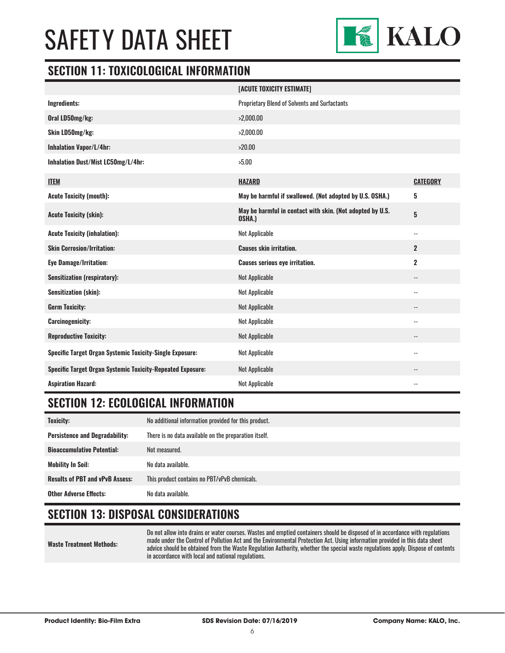

#### **SECTION 11: TOXICOLOGICAL INFORMATION**

|                                                                   | [ACUTE TOXICITY ESTIMATE]                                           |                          |
|-------------------------------------------------------------------|---------------------------------------------------------------------|--------------------------|
| <b>Ingredients:</b>                                               | Proprietary Blend of Solvents and Surfactants                       |                          |
| Oral LD50mg/kg:                                                   | >2,000.00                                                           |                          |
| Skin LD50mg/kg:                                                   | >2,000.00                                                           |                          |
| <b>Inhalation Vapor/L/4hr:</b>                                    | >20.00                                                              |                          |
| Inhalation Dust/Mist LC50mg/L/4hr:                                | >5.00                                                               |                          |
| <b>ITEM</b>                                                       | <b>HAZARD</b>                                                       | <b>CATEGORY</b>          |
| <b>Acute Toxicity (mouth):</b>                                    | May be harmful if swallowed. (Not adopted by U.S. OSHA.)            | 5                        |
| <b>Acute Toxicity (skin):</b>                                     | May be harmful in contact with skin. (Not adopted by U.S.<br>OSHA.) | $5\phantom{.0}$          |
| <b>Acute Toxicity (inhalation):</b>                               | Not Applicable                                                      | $\overline{\phantom{a}}$ |
| <b>Skin Corrosion/Irritation:</b>                                 | <b>Causes skin irritation.</b>                                      | $\overline{2}$           |
| <b>Eye Damage/Irritation:</b>                                     | <b>Causes serious eye irritation.</b>                               | $\mathbf 2$              |
| <b>Sensitization (respiratory):</b>                               | <b>Not Applicable</b>                                               | $\overline{\phantom{a}}$ |
| <b>Sensitization (skin):</b>                                      | Not Applicable                                                      | --                       |
| <b>Germ Toxicity:</b>                                             | <b>Not Applicable</b>                                               | --                       |
| <b>Carcinogenicity:</b>                                           | Not Applicable                                                      | --                       |
| <b>Reproductive Toxicity:</b>                                     | Not Applicable                                                      | --                       |
| <b>Specific Target Organ Systemic Toxicity-Single Exposure:</b>   | Not Applicable                                                      | $-$                      |
| <b>Specific Target Organ Systemic Toxicity-Repeated Exposure:</b> | <b>Not Applicable</b>                                               | --                       |
| <b>Aspiration Hazard:</b>                                         | Not Applicable                                                      | --                       |

#### **SECTION 12: ECOLOGICAL INFORMATION**

| <b>Toxicity:</b>                       | No additional information provided for this product.  |
|----------------------------------------|-------------------------------------------------------|
| <b>Persistence and Degradability:</b>  | There is no data available on the preparation itself. |
| <b>Bioaccumulative Potential:</b>      | Not measured.                                         |
| <b>Mobility In Soil:</b>               | No data available.                                    |
| <b>Results of PBT and vPvB Assess:</b> | This product contains no PBT/vPvB chemicals.          |
| <b>Other Adverse Effects:</b>          | No data available.                                    |

#### **SECTION 13: DISPOSAL CONSIDERATIONS**

| Waste Treatment Methods: | Do not allow into drains or water courses. Wastes and emotied containers should be disposed of in accordance with regulations<br>made under the Control of Pollution Act and the Environmental Protection Act. Using information provided in this data sheet<br>advice should be obtained from the Waste Regulation Authority, whether the special waste regulations apply. Dispose of contents<br>in accordance with local and national regulations. |
|--------------------------|-------------------------------------------------------------------------------------------------------------------------------------------------------------------------------------------------------------------------------------------------------------------------------------------------------------------------------------------------------------------------------------------------------------------------------------------------------|
|--------------------------|-------------------------------------------------------------------------------------------------------------------------------------------------------------------------------------------------------------------------------------------------------------------------------------------------------------------------------------------------------------------------------------------------------------------------------------------------------|